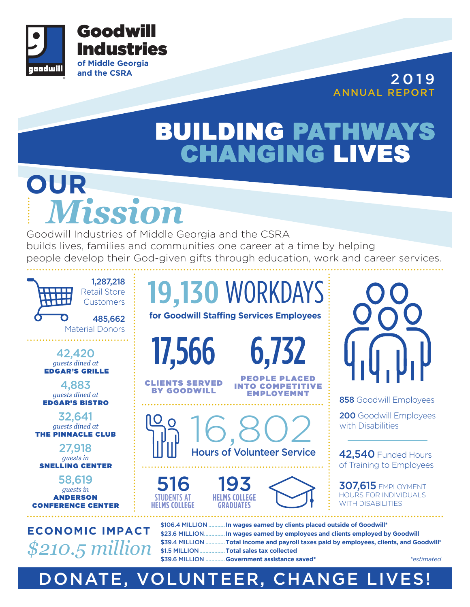

**and the CSRA** 2 0 1 9 ANNUAL REPORT

## **BUILDING PATHWAYS CHANGING LIVES**

# **OUR** *Mission*

Goodwill Industries of Middle Georgia and the CSRA builds lives, families and communities one career at a time by helping people develop their God-given gifts through education, work and career services.



DONATE, VOLUNTEER, CHANGE LIVES!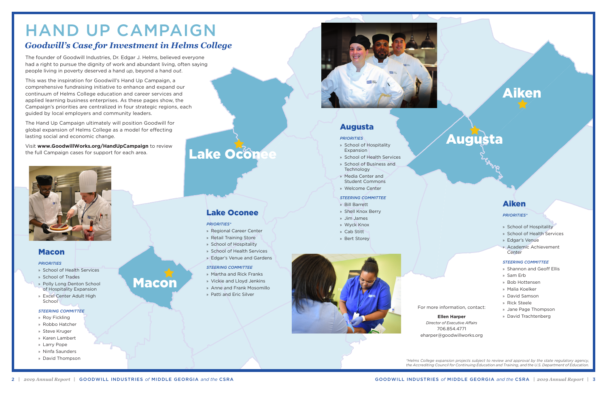## Aiken



## Lake Oconee

Macon

# HAND UP CAMPAIGN

The founder of Goodwill Industries, Dr. Edgar J. Helms, believed everyone had a right to pursue the dignity of work and abundant living, often saying people living in poverty deserved a hand *up*, beyond a hand *out*.

This was the inspiration for Goodwill's Hand Up Campaign, a comprehensive fundraising initiative to enhance and expand our continuum of Helms College education and career services and applied learning business enterprises. As these pages show, the Campaign's priorities are centralized in four strategic regions, each guided by local employers and community leaders.

- » School of Health Services
- » School of Trades
- » Polly Long Denton School of Hospitality Expansion
- » Excel Center Adult High **School**

The Hand Up Campaign ultimately will position Goodwill for global expansion of Helms College as a model for effecting lasting social and economic change.

Visit **www.GoodwillWorks.org/HandUpCampaign** to review the full Campaign cases for support for each area.



## *Goodwill's Case for Investment in Helms College*

*\*Helms College expansion projects subject to review and approval by the state regulatory agency, the Accrediting Council for Continuing Education and Training, and the U.S. Department of Education.* 

For more information, contact:

#### **Ellen Harper**

*Director of Executive Affairs* 706.854.4771 eharper@goodwillworks.org

## Macon

#### *PRIORITIES*

#### *STEERING COMMITTEE*

- » Roy Fickling
- » Robbo Hatcher
- » Steve Kruger
- » Karen Lambert
- » Larry Pope
- » Ninfa Saunders
- » David Thompson

## Lake Oconee

#### *PRIORITIES\**

- » Regional Career Center
- » Retail Training Store
- » School of Hospitality
- » School of Health Services
- » Edgar's Venue and Gardens

#### *STEERING COMMITTEE*

- » Martha and Rick Franks
- » Vickie and Lloyd Jenkins
- » Anne and Frank Mosomillo
- » Patti and Eric Silver



### Augusta

#### *PRIORITIES*

- » School of Hospitality Expansion
- » School of Health Services
- » School of Business and Technology
- » Media Center and Student Commons
- » Welcome Center

#### *STEERING COMMITTEE*

- » Bill Barrett
- » Shell Knox Berry
- » Jim James
- » Wyck Knox
- » Cab Stitt
- » Bert Storey



### Aiken

#### *PRIORITIES\**

- » School of Hospitality
- » School of Health Services
- » Edgar's Venue
- » Academic Achievement Center

#### *STEERING COMMITTEE*

- » Shannon and Geoff Ellis
- » Sam Erb
- » Bob Hottensen
- » Malia Koelker
- » David Samson
- » Rick Steele
- » Jane Page Thompson
- » David Trachtenberg